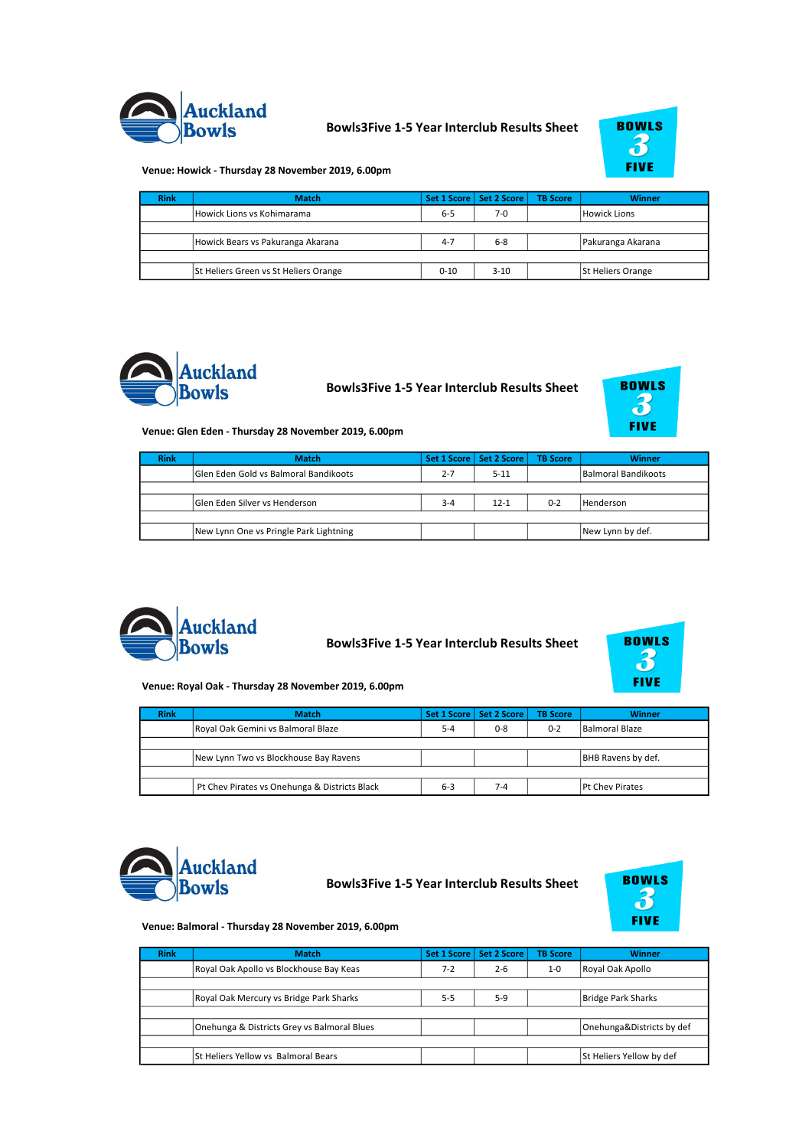

## Bowls3Five 1-5 Year Interclub Results Sheet



Venue: Howick - Thursday 28 November 2019, 6.00pm

| <b>Rink</b> | <b>Match</b>                          |          | Set 1 Score   Set 2 Score | <b>TB Score</b> | <b>Winner</b>            |
|-------------|---------------------------------------|----------|---------------------------|-----------------|--------------------------|
|             | Howick Lions vs Kohimarama            | $6 - 5$  | 7-0                       |                 | Howick Lions             |
|             |                                       |          |                           |                 |                          |
|             | Howick Bears vs Pakuranga Akarana     | $4 - 7$  | $6 - 8$                   |                 | Pakuranga Akarana        |
|             |                                       |          |                           |                 |                          |
|             | St Heliers Green vs St Heliers Orange | $0 - 10$ | $3-10$                    |                 | <b>St Heliers Orange</b> |



Bowls3Five 1-5 Year Interclub Results Sheet

| <b>BOWLS</b> |
|--------------|
|              |
|              |
| FIVE         |

Venue: Glen Eden - Thursday 28 November 2019, 6.00pm

| <b>Rink</b> | <b>Match</b>                                 |         | Set 1 Score   Set 2 Score | <b>TB Score</b> | <b>Winner</b>       |
|-------------|----------------------------------------------|---------|---------------------------|-----------------|---------------------|
|             | <b>Glen Eden Gold vs Balmoral Bandikoots</b> | $2 - 7$ | $5 - 11$                  |                 | Balmoral Bandikoots |
|             |                                              |         |                           |                 |                     |
|             | <b>Solen Eden Silver vs Henderson</b>        | $3 - 4$ | $12 - 1$                  | $0 - 2$         | <b>Henderson</b>    |
|             |                                              |         |                           |                 |                     |
|             | New Lynn One vs Pringle Park Lightning       |         |                           |                 | New Lynn by def.    |



Bowls3Five 1-5 Year Interclub Results Sheet



Venue: Royal Oak - Thursday 28 November 2019, 6.00pm

| <b>Rink</b> | <b>Match</b>                                  |         | Set 1 Score   Set 2 Score | <b>TB Score</b> | <b>Winner</b>          |
|-------------|-----------------------------------------------|---------|---------------------------|-----------------|------------------------|
|             | Royal Oak Gemini vs Balmoral Blaze            | $5 - 4$ | $0 - 8$                   | $0 - 2$         | Balmoral Blaze         |
|             |                                               |         |                           |                 |                        |
|             | New Lynn Two vs Blockhouse Bay Ravens         |         |                           |                 | BHB Ravens by def.     |
|             |                                               |         |                           |                 |                        |
|             | Pt Chev Pirates vs Onehunga & Districts Black | $6 - 3$ | 7-4                       |                 | <b>Pt Chev Pirates</b> |



Bowls3Five 1-5 Year Interclub Results Sheet



## Venue: Balmoral - Thursday 28 November 2019, 6.00pm

| <b>Rink</b> | <b>Match</b>                                | <b>Set 1 Score</b> | <b>Set 2 Score</b> | <b>TB Score</b> | <b>Winner</b>             |
|-------------|---------------------------------------------|--------------------|--------------------|-----------------|---------------------------|
|             | Royal Oak Apollo vs Blockhouse Bay Keas     | $7 - 2$            | $2 - 6$            | $1 - 0$         | Royal Oak Apollo          |
|             |                                             |                    |                    |                 |                           |
|             | Royal Oak Mercury vs Bridge Park Sharks     | $5 - 5$            | $5-9$              |                 | Bridge Park Sharks        |
|             |                                             |                    |                    |                 |                           |
|             | Onehunga & Districts Grey vs Balmoral Blues |                    |                    |                 | Onehunga&Districts by def |
|             |                                             |                    |                    |                 |                           |
|             | St Heliers Yellow vs Balmoral Bears         |                    |                    |                 | St Heliers Yellow by def  |